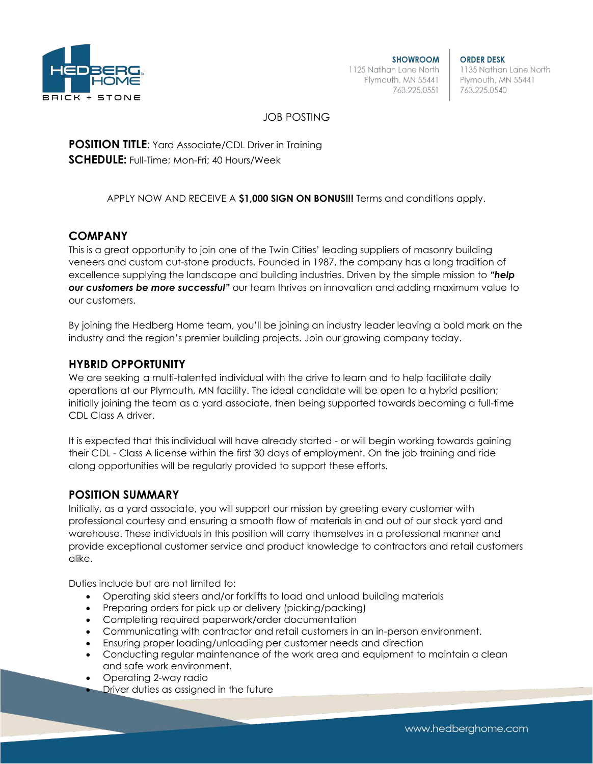

**SHOWROOM** 1125 Nathan Lane North Plymouth, MN 55441 763.225.0551

**ORDER DESK** 1135 Nathan Lane North Plymouth, MN 55441 763.225.0540

## JOB POSTING

**POSITION TITLE:** Yard Associate/CDL Driver in Training **SCHEDULE:** Full-Time; Mon-Fri; 40 Hours/Week

APPLY NOW AND RECEIVE A **\$1,000 SIGN ON BONUS!!!** Terms and conditions apply.

### **COMPANY**

This is a great opportunity to join one of the Twin Cities' leading suppliers of masonry building veneers and custom cut-stone products. Founded in 1987, the company has a long tradition of excellence supplying the landscape and building industries. Driven by the simple mission to *"help our customers be more successful"* our team thrives on innovation and adding maximum value to our customers.

By joining the Hedberg Home team, you'll be joining an industry leader leaving a bold mark on the industry and the region's premier building projects. Join our growing company today.

### **HYBRID OPPORTUNITY**

We are seeking a multi-talented individual with the drive to learn and to help facilitate daily operations at our Plymouth, MN facility. The ideal candidate will be open to a hybrid position; initially joining the team as a yard associate, then being supported towards becoming a full-time CDL Class A driver.

It is expected that this individual will have already started - or will begin working towards gaining their CDL - Class A license within the first 30 days of employment. On the job training and ride along opportunities will be regularly provided to support these efforts.

#### **POSITION SUMMARY**

Initially, as a yard associate, you will support our mission by greeting every customer with professional courtesy and ensuring a smooth flow of materials in and out of our stock yard and warehouse. These individuals in this position will carry themselves in a professional manner and provide exceptional customer service and product knowledge to contractors and retail customers alike.

Duties include but are not limited to:

- Operating skid steers and/or forklifts to load and unload building materials
- Preparing orders for pick up or delivery (picking/packing)
- Completing required paperwork/order documentation
- Communicating with contractor and retail customers in an in-person environment.
- Ensuring proper loading/unloading per customer needs and direction
- Conducting regular maintenance of the work area and equipment to maintain a clean and safe work environment.
- Operating 2-way radio
- Driver duties as assigned in the future